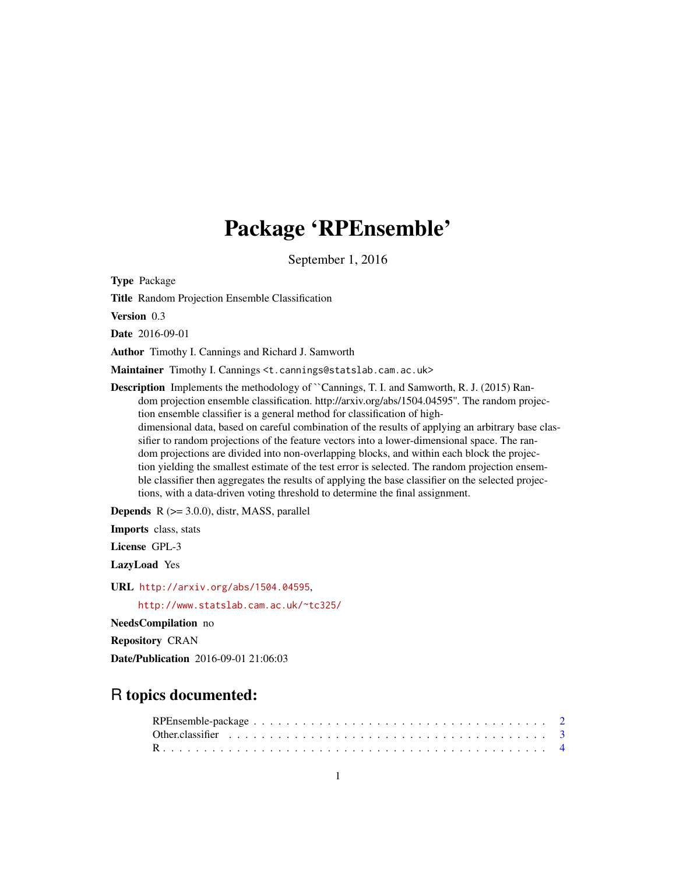## Package 'RPEnsemble'

September 1, 2016

Type Package

Title Random Projection Ensemble Classification

Version 0.3

Date 2016-09-01

Author Timothy I. Cannings and Richard J. Samworth

Maintainer Timothy I. Cannings <t. cannings@statslab.cam.ac.uk>

Description Implements the methodology of ``Cannings, T. I. and Samworth, R. J. (2015) Random projection ensemble classification. http://arxiv.org/abs/1504.04595''. The random projection ensemble classifier is a general method for classification of highdimensional data, based on careful combination of the results of applying an arbitrary base classifier to random projections of the feature vectors into a lower-dimensional space. The random projections are divided into non-overlapping blocks, and within each block the projection yielding the smallest estimate of the test error is selected. The random projection ensemble classifier then aggregates the results of applying the base classifier on the selected projections, with a data-driven voting threshold to determine the final assignment.

**Depends**  $R$  ( $>= 3.0.0$ ), distr, MASS, parallel

Imports class, stats

License GPL-3

LazyLoad Yes

URL <http://arxiv.org/abs/1504.04595>,

<http://www.statslab.cam.ac.uk/~tc325/>

NeedsCompilation no

Repository CRAN

Date/Publication 2016-09-01 21:06:03

## R topics documented: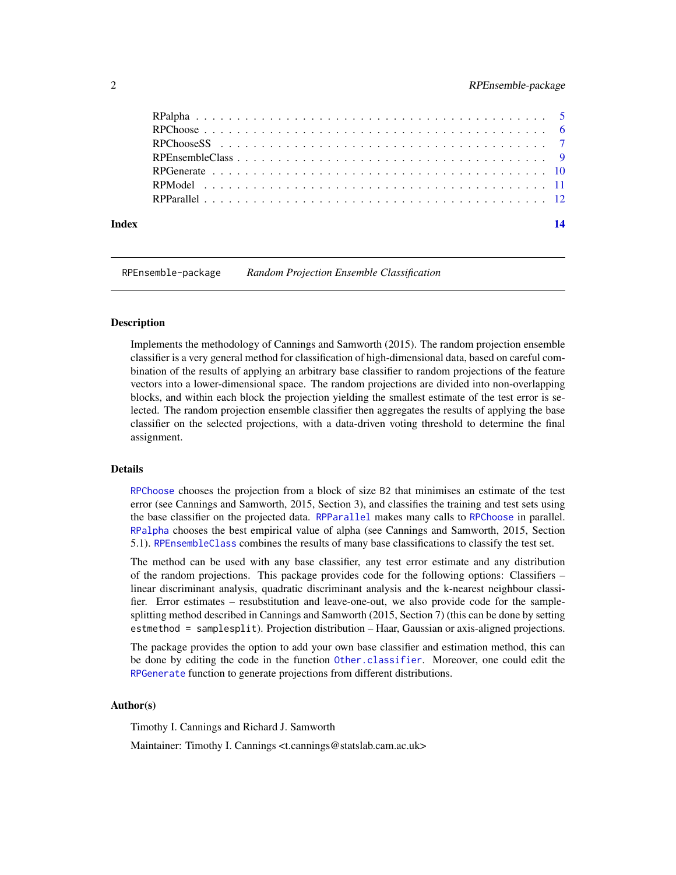<span id="page-1-0"></span>

RPEnsemble-package *Random Projection Ensemble Classification*

#### Description

Implements the methodology of Cannings and Samworth (2015). The random projection ensemble classifier is a very general method for classification of high-dimensional data, based on careful combination of the results of applying an arbitrary base classifier to random projections of the feature vectors into a lower-dimensional space. The random projections are divided into non-overlapping blocks, and within each block the projection yielding the smallest estimate of the test error is selected. The random projection ensemble classifier then aggregates the results of applying the base classifier on the selected projections, with a data-driven voting threshold to determine the final assignment.

#### Details

[RPChoose](#page-5-1) chooses the projection from a block of size B2 that minimises an estimate of the test error (see Cannings and Samworth, 2015, Section 3), and classifies the training and test sets using the base classifier on the projected data. [RPParallel](#page-11-1) makes many calls to [RPChoose](#page-5-1) in parallel. [RPalpha](#page-4-1) chooses the best empirical value of alpha (see Cannings and Samworth, 2015, Section 5.1). [RPEnsembleClass](#page-8-1) combines the results of many base classifications to classify the test set.

The method can be used with any base classifier, any test error estimate and any distribution of the random projections. This package provides code for the following options: Classifiers – linear discriminant analysis, quadratic discriminant analysis and the k-nearest neighbour classifier. Error estimates – resubstitution and leave-one-out, we also provide code for the samplesplitting method described in Cannings and Samworth (2015, Section 7) (this can be done by setting estmethod = samplesplit). Projection distribution – Haar, Gaussian or axis-aligned projections.

The package provides the option to add your own base classifier and estimation method, this can be done by editing the code in the function [Other.classifier](#page-2-1). Moreover, one could edit the [RPGenerate](#page-9-1) function to generate projections from different distributions.

#### Author(s)

Timothy I. Cannings and Richard J. Samworth

Maintainer: Timothy I. Cannings <t.cannings@statslab.cam.ac.uk>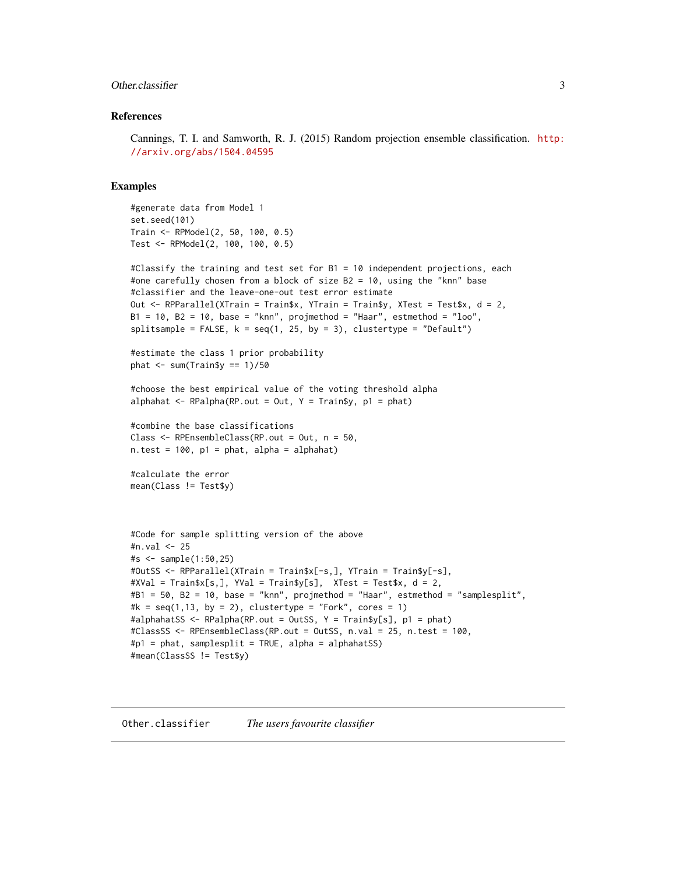#### <span id="page-2-0"></span>Other.classifier 3

#### References

Cannings, T. I. and Samworth, R. J. (2015) Random projection ensemble classification. [http:](http://arxiv.org/abs/1504.04595) [//arxiv.org/abs/1504.04595](http://arxiv.org/abs/1504.04595)

#### Examples

```
#generate data from Model 1
set.seed(101)
Train <- RPModel(2, 50, 100, 0.5)
Test <- RPModel(2, 100, 100, 0.5)
```

```
#Classify the training and test set for B1 = 10 independent projections, each
#one carefully chosen from a block of size B2 = 10, using the "knn" base
#classifier and the leave-one-out test error estimate
Out <- RPParallel(XTrain = Train$x, YTrain = Train$y, XTest = Test$x, d = 2,
B1 = 10, B2 = 10, base = "knn", projmethod = "Haar", estmethod = "loo",
splitsample = FALSE, k = seq(1, 25, by = 3), clustertype = "Default")
#estimate the class 1 prior probability
phat \leq sum(Train$y == 1)/50
#choose the best empirical value of the voting threshold alpha
alphahat \leq RPalpha(RP.out = Out, Y = Train$y, p1 = phat)
#combine the base classifications
Class <- RPEnsembleClass(RP.out = Out, n = 50,
n.test = 100, p1 = phat, alpha = alphahat)
#calculate the error
mean(Class != Test$y)
#Code for sample splitting version of the above
#n.val <- 25
#s <- sample(1:50,25)
#OutSS <- RPParallel(XTrain = Train$x[-s,], YTrain = Train$y[-s],
#XVal = Train$x[s,], YVal = Train$y[s], XTest = Test$x, d = 2,
#B1 = 50, B2 = 10, base = "knn", projmethod = "Haar", estmethod = "samplesplit",
#k = seq(1, 13, by = 2), clustertype = "Fork", cores = 1)
#alphahatSS <- RPalpha(RP.out = OutSS, Y = Train$y[s], p1 = phat)
#ClassSS <- RPEnsembleClass(RP.out = OutSS, n.val = 25, n.test = 100,
#p1 = phat, samplesplit = TRUE, alpha = alphahatSS)
#mean(ClassSS != Test$y)
```
<span id="page-2-1"></span>Other.classifier *The users favourite classifier*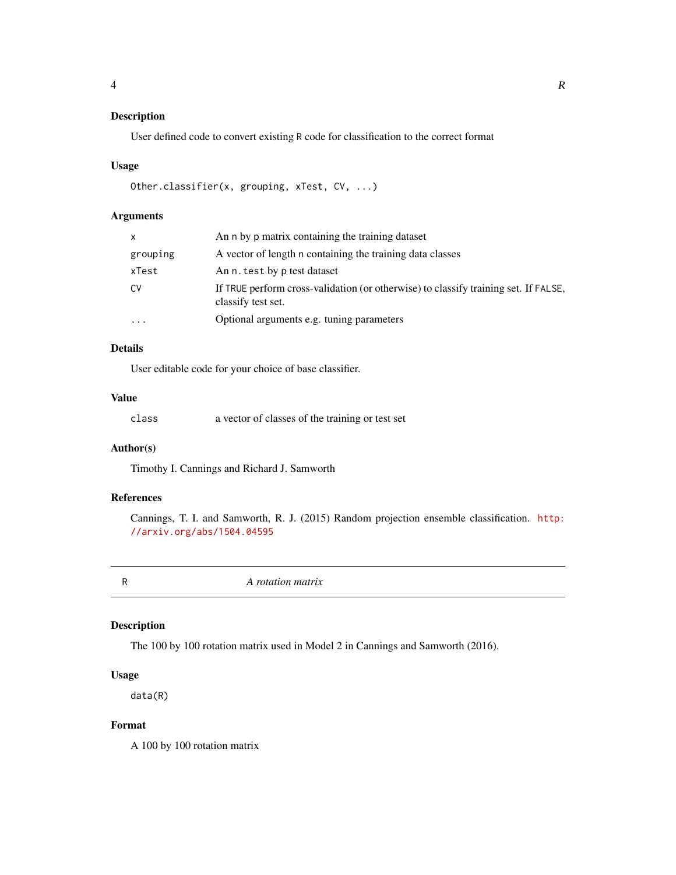## <span id="page-3-0"></span>Description

User defined code to convert existing R code for classification to the correct format

#### Usage

```
Other.classifier(x, grouping, xTest, CV, ...)
```
## Arguments

| X        | An n by p matrix containing the training dataset                                                          |
|----------|-----------------------------------------------------------------------------------------------------------|
| grouping | A vector of length n containing the training data classes                                                 |
| xTest    | An n. test by p test dataset                                                                              |
| CV       | If TRUE perform cross-validation (or otherwise) to classify training set. If FALSE,<br>classify test set. |
| $\cdots$ | Optional arguments e.g. tuning parameters                                                                 |

## Details

User editable code for your choice of base classifier.

#### Value

| class | a vector of classes of the training or test set |  |  |
|-------|-------------------------------------------------|--|--|
|-------|-------------------------------------------------|--|--|

## Author(s)

Timothy I. Cannings and Richard J. Samworth

## References

Cannings, T. I. and Samworth, R. J. (2015) Random projection ensemble classification. [http:](http://arxiv.org/abs/1504.04595) [//arxiv.org/abs/1504.04595](http://arxiv.org/abs/1504.04595)

R *A rotation matrix*

## Description

The 100 by 100 rotation matrix used in Model 2 in Cannings and Samworth (2016).

#### Usage

data(R)

## Format

A 100 by 100 rotation matrix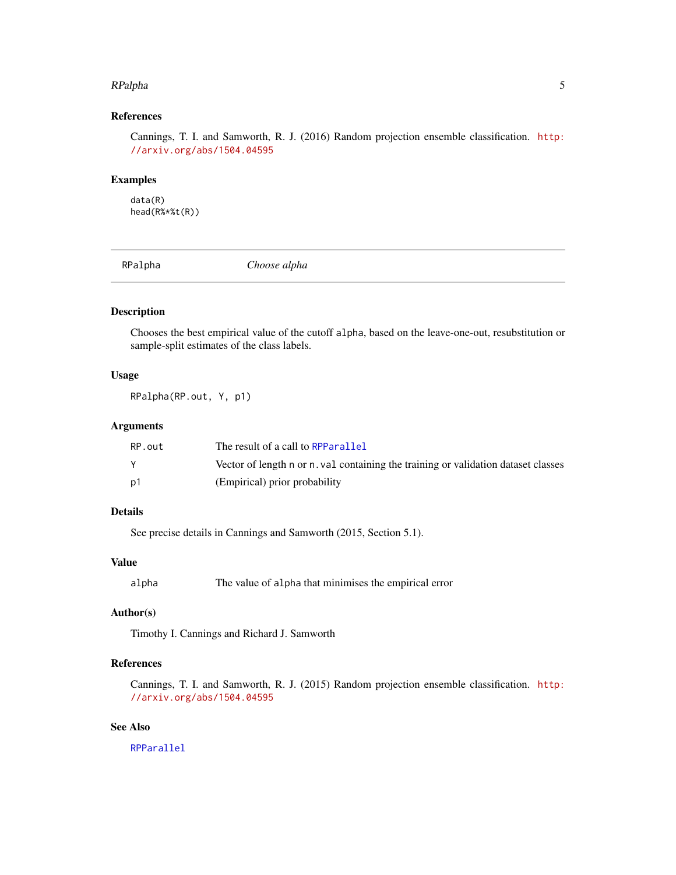#### <span id="page-4-0"></span>RPalpha 5

## References

Cannings, T. I. and Samworth, R. J. (2016) Random projection ensemble classification. [http:](http://arxiv.org/abs/1504.04595) [//arxiv.org/abs/1504.04595](http://arxiv.org/abs/1504.04595)

#### Examples

data(R) head(R%\*%t(R))

<span id="page-4-1"></span>RPalpha *Choose alpha*

## Description

Chooses the best empirical value of the cutoff alpha, based on the leave-one-out, resubstitution or sample-split estimates of the class labels.

#### Usage

RPalpha(RP.out, Y, p1)

## Arguments

| RP.out | The result of a call to RPParallel                                                 |
|--------|------------------------------------------------------------------------------------|
|        | Vector of length n or n. val containing the training or validation dataset classes |
| p1     | (Empirical) prior probability                                                      |

## Details

See precise details in Cannings and Samworth (2015, Section 5.1).

#### Value

alpha The value of alpha that minimises the empirical error

## Author(s)

Timothy I. Cannings and Richard J. Samworth

## References

Cannings, T. I. and Samworth, R. J. (2015) Random projection ensemble classification. [http:](http://arxiv.org/abs/1504.04595) [//arxiv.org/abs/1504.04595](http://arxiv.org/abs/1504.04595)

## See Also

[RPParallel](#page-11-1)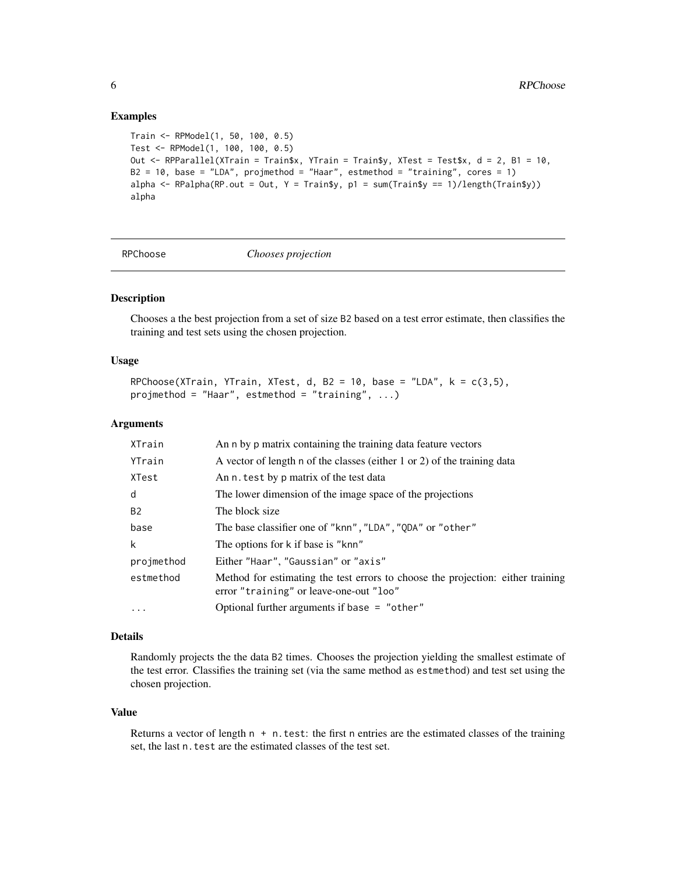#### Examples

```
Train <- RPModel(1, 50, 100, 0.5)
Test <- RPModel(1, 100, 100, 0.5)
Out <- RPParallel(XTrain = Train$x, YTrain = Train$y, XTest = Test$x, d = 2, B1 = 10,
B2 = 10, base = "LDA", projmethod = "Haar", estmethod = "training", cores = 1)
alpha \leq RPalpha(RP.out = Out, Y = Train$y, p1 = sum(Train$y == 1)/length(Train$y))
alpha
```
<span id="page-5-1"></span>

#### RPChoose *Chooses projection*

## Description

Chooses a the best projection from a set of size B2 based on a test error estimate, then classifies the training and test sets using the chosen projection.

#### Usage

RPChoose(XTrain, YTrain, XTest, d, B2 = 10, base = "LDA",  $k = c(3,5)$ , projmethod = "Haar", estmethod = "training", ...)

#### **Arguments**

| XTrain     | An n by p matrix containing the training data feature vectors                                                              |
|------------|----------------------------------------------------------------------------------------------------------------------------|
| YTrain     | A vector of length n of the classes (either 1 or 2) of the training data                                                   |
| XTest      | An n. test by p matrix of the test data                                                                                    |
| d          | The lower dimension of the image space of the projections                                                                  |
| <b>B2</b>  | The block size                                                                                                             |
| base       | The base classifier one of "knn", "LDA", "QDA" or "other"                                                                  |
| k          | The options for k if base is "knn"                                                                                         |
| projmethod | Either "Haar", "Gaussian" or "axis"                                                                                        |
| estmethod  | Method for estimating the test errors to choose the projection: either training<br>error "training" or leave-one-out "loo" |
| $\ddotsc$  | Optional further arguments if base $=$ "other"                                                                             |

### Details

Randomly projects the the data B2 times. Chooses the projection yielding the smallest estimate of the test error. Classifies the training set (via the same method as estmethod) and test set using the chosen projection.

#### Value

Returns a vector of length  $n + n$ . test: the first n entries are the estimated classes of the training set, the last n. test are the estimated classes of the test set.

<span id="page-5-0"></span>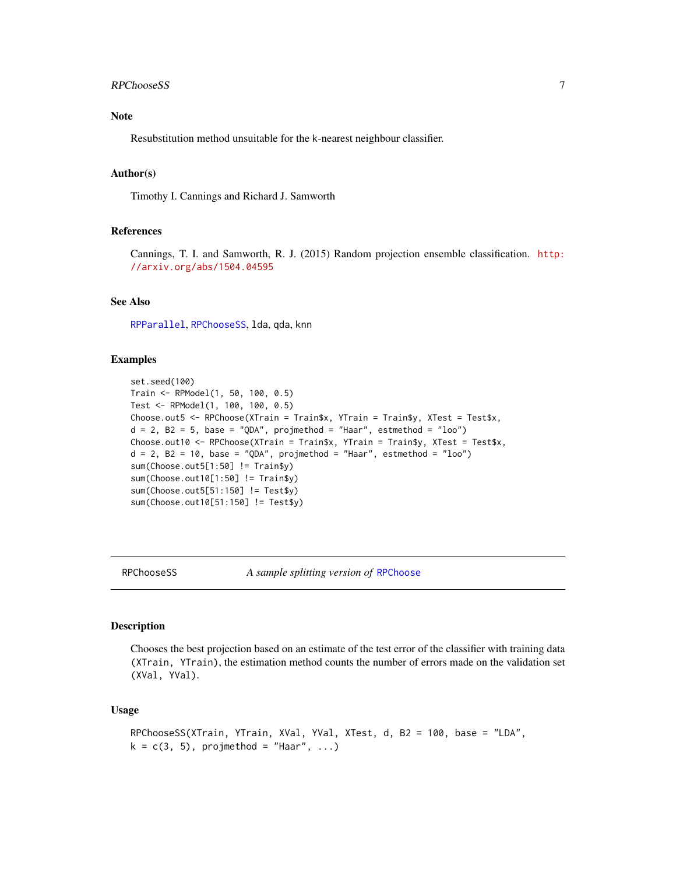#### <span id="page-6-0"></span>RPChooseSS 7

## Note

Resubstitution method unsuitable for the k-nearest neighbour classifier.

#### Author(s)

Timothy I. Cannings and Richard J. Samworth

## References

Cannings, T. I. and Samworth, R. J. (2015) Random projection ensemble classification. [http:](http://arxiv.org/abs/1504.04595) [//arxiv.org/abs/1504.04595](http://arxiv.org/abs/1504.04595)

#### See Also

[RPParallel](#page-11-1), [RPChooseSS](#page-6-1), lda, qda, knn

## Examples

```
set.seed(100)
Train <- RPModel(1, 50, 100, 0.5)
Test <- RPModel(1, 100, 100, 0.5)
Choose.out5 <- RPChoose(XTrain = Train$x, YTrain = Train$y, XTest = Test$x,
d = 2, B2 = 5, base = "QDA", projmethod = "Haar", estmethod = "loo")
Choose.out10 <- RPChoose(XTrain = Train$x, YTrain = Train$y, XTest = Test$x,
d = 2, B2 = 10, base = "QDA", projmethod = "Haar", estmethod = "loo")
sum(Choose.out5[1:50] != Train$y)
sum(Choose.out10[1:50] != Train$y)
sum(Choose.out5[51:150] != Test$y)
sum(Choose.out10[51:150] != Test$y)
```
<span id="page-6-1"></span>

RPChooseSS *A sample splitting version of* [RPChoose](#page-5-1)

#### Description

Chooses the best projection based on an estimate of the test error of the classifier with training data (XTrain, YTrain), the estimation method counts the number of errors made on the validation set (XVal, YVal).

#### Usage

```
RPChooseSS(XTrain, YTrain, XVal, YVal, XTest, d, B2 = 100, base = "LDA",
k = c(3, 5), projmethod = "Haar", ...)
```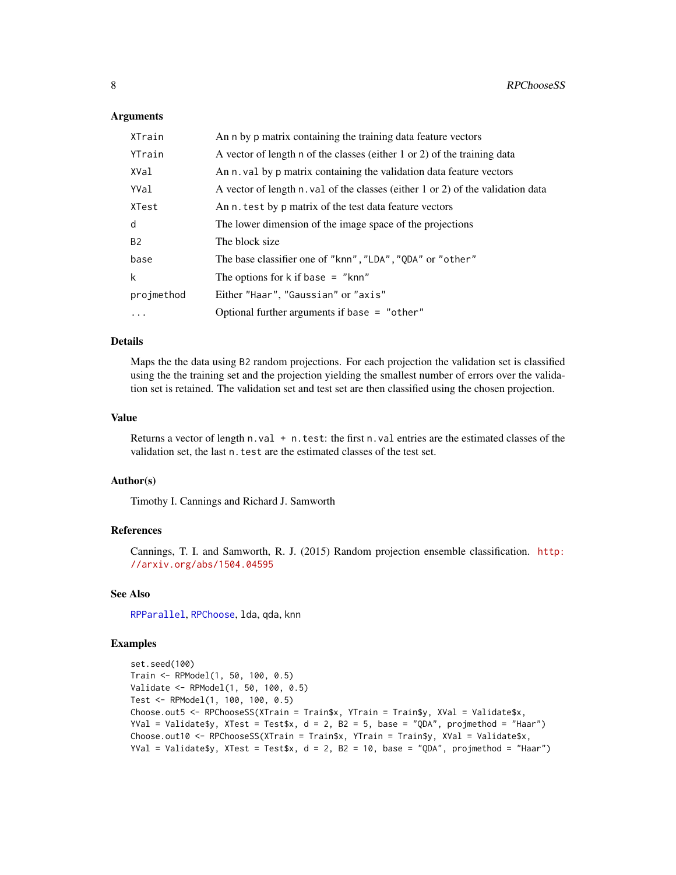#### <span id="page-7-0"></span>**Arguments**

| XTrain     | An n by p matrix containing the training data feature vectors                   |
|------------|---------------------------------------------------------------------------------|
| YTrain     | A vector of length n of the classes (either 1 or 2) of the training data        |
| XVal       | An n. val by p matrix containing the validation data feature vectors            |
| YVal       | A vector of length n. val of the classes (either 1 or 2) of the validation data |
| XTest      | An n, test by p matrix of the test data feature vectors                         |
| d          | The lower dimension of the image space of the projections                       |
| <b>B2</b>  | The block size                                                                  |
| base       | The base classifier one of "knn", "LDA", "QDA" or "other"                       |
| k          | The options for $k$ if base = " $knn$ "                                         |
| projmethod | Either "Haar", "Gaussian" or "axis"                                             |
| $\cdots$   | Optional further arguments if base $=$ "other"                                  |

#### Details

Maps the the data using B2 random projections. For each projection the validation set is classified using the the training set and the projection yielding the smallest number of errors over the validation set is retained. The validation set and test set are then classified using the chosen projection.

#### Value

Returns a vector of length  $n$ , val  $+ n$ , test: the first  $n$ , val entries are the estimated classes of the validation set, the last n. test are the estimated classes of the test set.

#### Author(s)

Timothy I. Cannings and Richard J. Samworth

#### References

Cannings, T. I. and Samworth, R. J. (2015) Random projection ensemble classification. [http:](http://arxiv.org/abs/1504.04595) [//arxiv.org/abs/1504.04595](http://arxiv.org/abs/1504.04595)

#### See Also

[RPParallel](#page-11-1), [RPChoose](#page-5-1), lda, qda, knn

#### Examples

```
set.seed(100)
Train <- RPModel(1, 50, 100, 0.5)
Validate <- RPModel(1, 50, 100, 0.5)
Test <- RPModel(1, 100, 100, 0.5)
Choose.out5 <- RPChooseSS(XTrain = Train$x, YTrain = Train$y, XVal = Validate$x,
YVal = Validate$y, XTest = Test$x, d = 2, B2 = 5, base = "QDA", projmethod = "Haar")
Choose.out10 <- RPChooseSS(XTrain = Train$x, YTrain = Train$y, XVal = Validate$x,
YVal = Validate$y, XTest = Test$x, d = 2, B2 = 10, base = "QDA", projmethod = "Haar")
```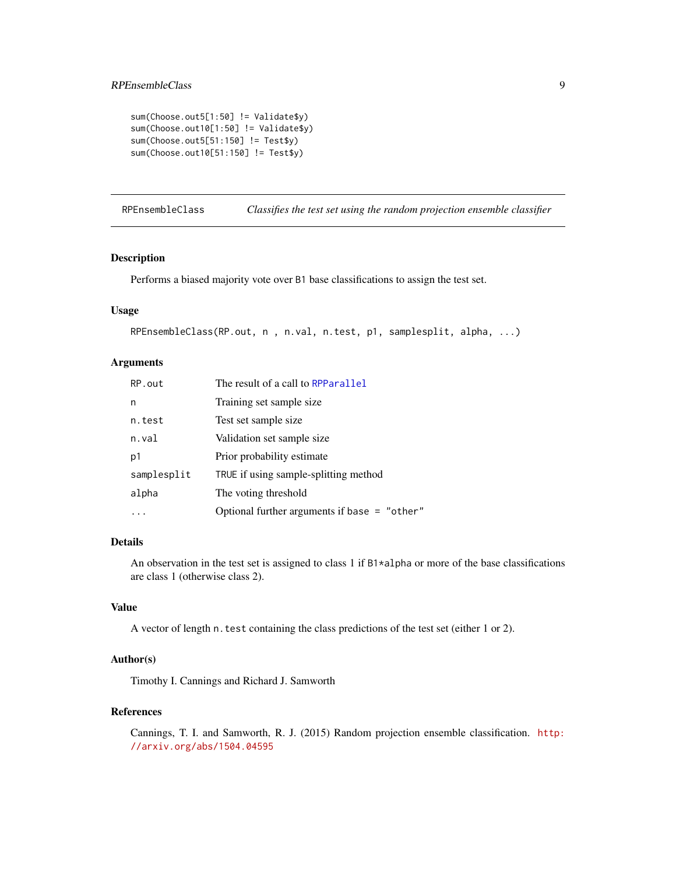```
sum(Choose.out5[1:50] != Validate$y)
sum(Choose.out10[1:50] != Validate$y)
sum(Choose.out5[51:150] != Test$y)
sum(Choose.out10[51:150] != Test$y)
```
<span id="page-8-1"></span>RPEnsembleClass *Classifies the test set using the random projection ensemble classifier*

#### Description

Performs a biased majority vote over B1 base classifications to assign the test set.

## Usage

```
RPEnsembleClass(RP.out, n , n.val, n.test, p1, samplesplit, alpha, ...)
```
#### Arguments

| RP.out      | The result of a call to RPParallel             |
|-------------|------------------------------------------------|
| n           | Training set sample size.                      |
| n.test      | Test set sample size                           |
| n.val       | Validation set sample size                     |
| p1          | Prior probability estimate                     |
| samplesplit | TRUE if using sample-splitting method          |
| alpha       | The voting threshold                           |
|             | Optional further arguments if base $=$ "other" |

#### Details

An observation in the test set is assigned to class 1 if B1\*alpha or more of the base classifications are class 1 (otherwise class 2).

## Value

A vector of length n.test containing the class predictions of the test set (either 1 or 2).

#### Author(s)

Timothy I. Cannings and Richard J. Samworth

## References

Cannings, T. I. and Samworth, R. J. (2015) Random projection ensemble classification. [http:](http://arxiv.org/abs/1504.04595) [//arxiv.org/abs/1504.04595](http://arxiv.org/abs/1504.04595)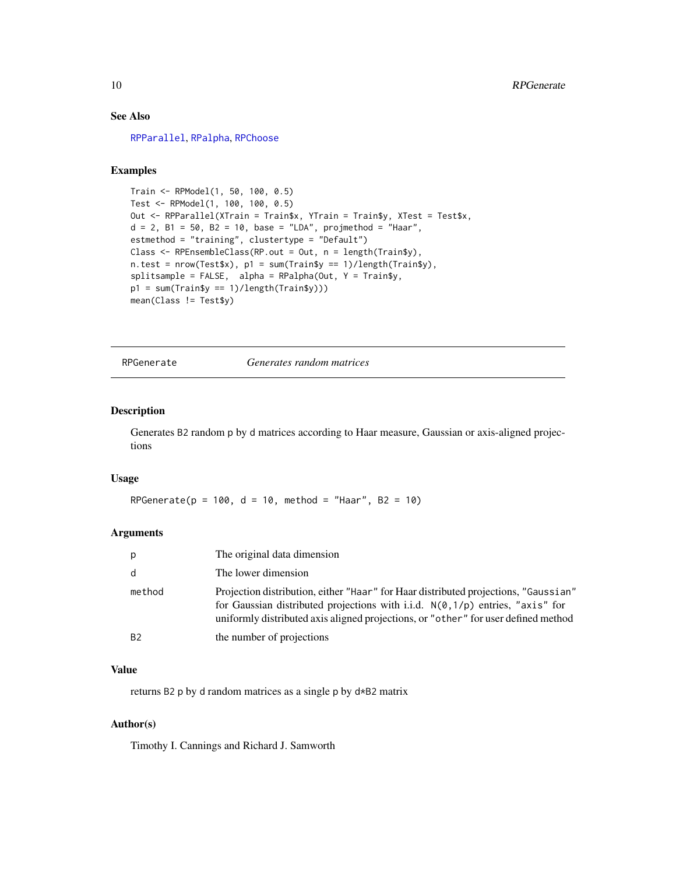## See Also

[RPParallel](#page-11-1), [RPalpha](#page-4-1), [RPChoose](#page-5-1)

## Examples

```
Train <- RPModel(1, 50, 100, 0.5)
Test <- RPModel(1, 100, 100, 0.5)
Out <- RPParallel(XTrain = Train$x, YTrain = Train$y, XTest = Test$x,
d = 2, B1 = 50, B2 = 10, base = "LDA", projmethod = "Haar",
estmethod = "training", clustertype = "Default")
Class <- RPEnsembleClass(RP.out = Out, n = length(Train$y),
n.test = nrow(Test$x), p1 = sum(Train$y == 1)/length(Train$y),
splitsplitsample = FALSE, alpha = RPalpha(Out, Y = Train$y,
p1 = sum(Train$y == 1)/length(Train$y)))
mean(Class != Test$y)
```
<span id="page-9-1"></span>RPGenerate *Generates random matrices*

#### Description

Generates B2 random p by d matrices according to Haar measure, Gaussian or axis-aligned projections

#### Usage

RPGenerate( $p = 100$ ,  $d = 10$ , method = "Haar",  $B2 = 10$ )

#### Arguments

| p            | The original data dimension                                                                                                                                                                                                                                           |
|--------------|-----------------------------------------------------------------------------------------------------------------------------------------------------------------------------------------------------------------------------------------------------------------------|
| <sub>d</sub> | The lower dimension                                                                                                                                                                                                                                                   |
| method       | Projection distribution, either "Haar" for Haar distributed projections, "Gaussian"<br>for Gaussian distributed projections with i.i.d. $N(\emptyset, 1/p)$ entries, "axis" for<br>uniformly distributed axis aligned projections, or "other" for user defined method |
| <b>B2</b>    | the number of projections                                                                                                                                                                                                                                             |

## Value

returns B2 p by d random matrices as a single p by d\*B2 matrix

## Author(s)

Timothy I. Cannings and Richard J. Samworth

<span id="page-9-0"></span>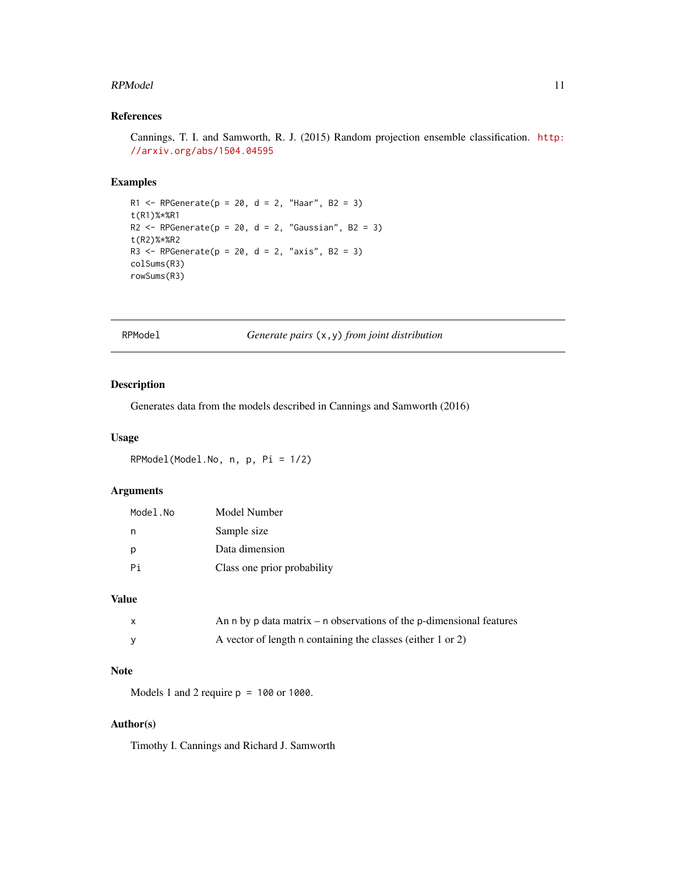#### <span id="page-10-0"></span>RPModel 11

## References

Cannings, T. I. and Samworth, R. J. (2015) Random projection ensemble classification. [http:](http://arxiv.org/abs/1504.04595) [//arxiv.org/abs/1504.04595](http://arxiv.org/abs/1504.04595)

## Examples

```
R1 <- RPGenerate(p = 20, d = 2, "Haar", B2 = 3)
t(R1)%*%R1
R2 \leq RPGenerate(p = 20, d = 2, "Gaussian", B2 = 3)
t(R2)%*%R2
R3 <- RPGenerate(p = 20, d = 2, "axis", B2 = 3)
colSums(R3)
rowSums(R3)
```
RPModel *Generate pairs* (x,y) *from joint distribution*

#### Description

Generates data from the models described in Cannings and Samworth (2016)

#### Usage

RPModel(Model.No, n, p, Pi = 1/2)

## Arguments

| Model.No | Model Number                |
|----------|-----------------------------|
| n        | Sample size                 |
| р        | Data dimension              |
| Pi       | Class one prior probability |

#### Value

| An n by p data matrix $-$ n observations of the p-dimensional features |
|------------------------------------------------------------------------|
| A vector of length n containing the classes (either 1 or 2)            |

#### Note

Models 1 and 2 require p = 100 or 1000.

## Author(s)

Timothy I. Cannings and Richard J. Samworth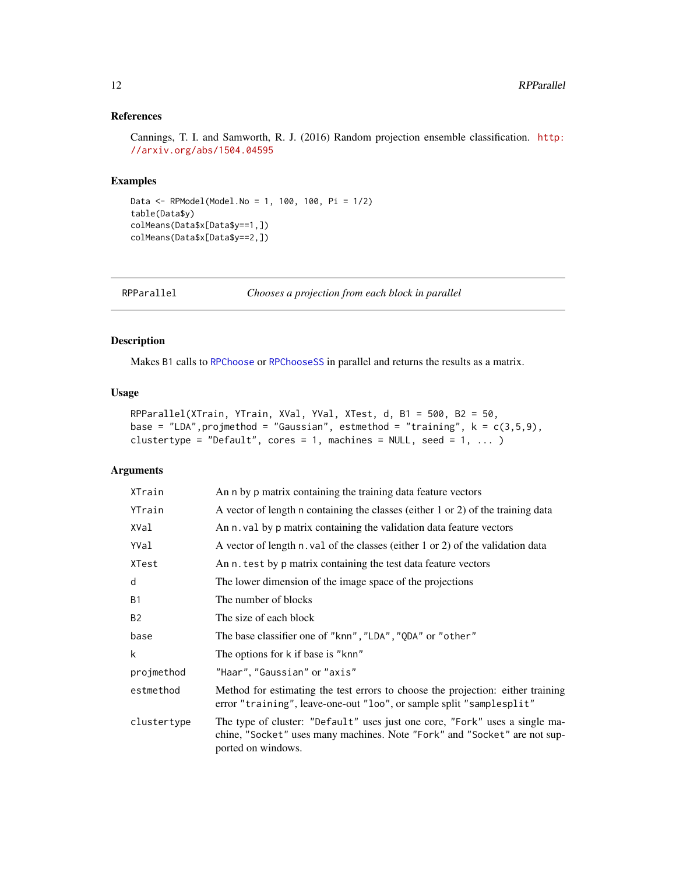## <span id="page-11-0"></span>References

Cannings, T. I. and Samworth, R. J. (2016) Random projection ensemble classification. [http:](http://arxiv.org/abs/1504.04595) [//arxiv.org/abs/1504.04595](http://arxiv.org/abs/1504.04595)

#### Examples

```
Data <- RPModel(Model.No = 1, 100, 100, Pi = 1/2)
table(Data$y)
colMeans(Data$x[Data$y==1,])
colMeans(Data$x[Data$y==2,])
```
<span id="page-11-1"></span>RPParallel *Chooses a projection from each block in parallel*

## Description

Makes B1 calls to [RPChoose](#page-5-1) or [RPChooseSS](#page-6-1) in parallel and returns the results as a matrix.

#### Usage

```
RPParallel(XTrain, YTrain, XVal, YVal, XTest, d, B1 = 500, B2 = 50,
base = "LDA", projmethod = "Gaussian", estmethod = "training", k = c(3,5,9),
clustertype = "Default", cores = 1, machines = NULL, seed = 1, ... )
```
## Arguments

| XTrain      | An n by p matrix containing the training data feature vectors                                                                                                                  |
|-------------|--------------------------------------------------------------------------------------------------------------------------------------------------------------------------------|
| YTrain      | A vector of length n containing the classes (either 1 or 2) of the training data                                                                                               |
| XVal        | An n. val by p matrix containing the validation data feature vectors                                                                                                           |
| YVal        | A vector of length n. val of the classes (either 1 or 2) of the validation data                                                                                                |
| XTest       | An n. test by p matrix containing the test data feature vectors                                                                                                                |
| d           | The lower dimension of the image space of the projections                                                                                                                      |
| <b>B1</b>   | The number of blocks                                                                                                                                                           |
| <b>B2</b>   | The size of each block                                                                                                                                                         |
| base        | The base classifier one of "knn", "LDA", "QDA" or "other"                                                                                                                      |
| k           | The options for k if base is "knn"                                                                                                                                             |
| projmethod  | "Haar", "Gaussian" or "axis"                                                                                                                                                   |
| estmethod   | Method for estimating the test errors to choose the projection: either training<br>error "training", leave-one-out "loo", or sample split "samplesplit"                        |
| clustertype | The type of cluster: "Default" uses just one core, "Fork" uses a single ma-<br>chine, "Socket" uses many machines. Note "Fork" and "Socket" are not sup-<br>ported on windows. |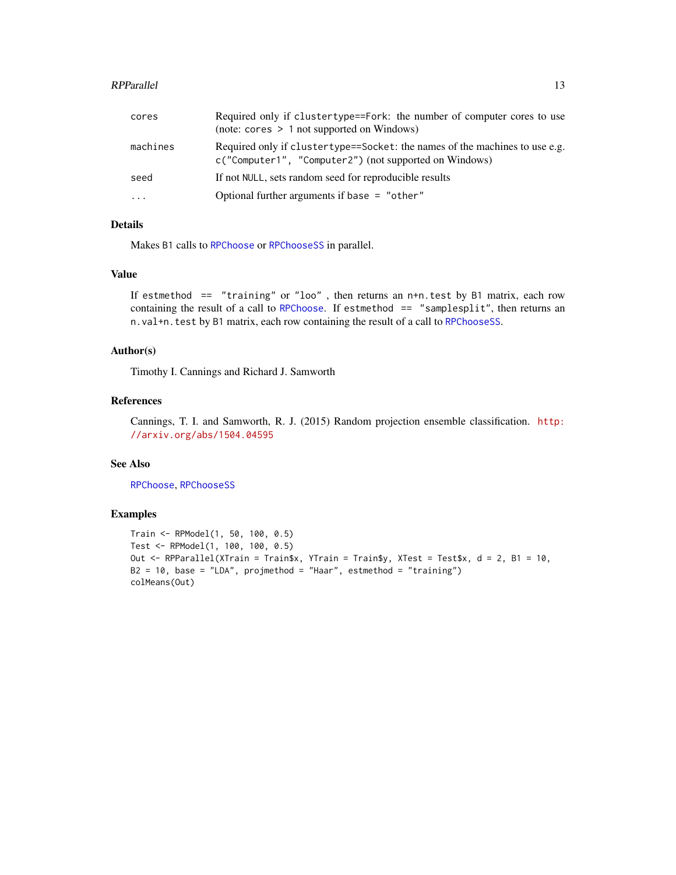#### <span id="page-12-0"></span>RPParallel 23 and 23 and 23 and 23 and 23 and 23 and 23 and 23 and 23 and 23 and 23 and 23 and 23 and 23 and 23 and 23 and 23 and 23 and 23 and 23 and 23 and 23 and 23 and 23 and 23 and 23 and 23 and 23 and 23 and 23 and 2

| cores     | Required only if clustertype==Fork: the number of computer cores to use<br>$(note: cores > 1 not supported on Windows)$                |
|-----------|----------------------------------------------------------------------------------------------------------------------------------------|
| machines  | Required only if cluster type==Socket: the names of the machines to use e.g.<br>c("Computer1", "Computer2") (not supported on Windows) |
| seed      | If not NULL, sets random seed for reproducible results                                                                                 |
| $\ddotsc$ | Optional further arguments if base $=$ "other"                                                                                         |

## Details

Makes B1 calls to [RPChoose](#page-5-1) or [RPChooseSS](#page-6-1) in parallel.

#### Value

If estmethod == "training" or "loo" , then returns an n+n.test by B1 matrix, each row containing the result of a call to [RPChoose](#page-5-1). If estmethod  $==$  "samplesplit", then returns an n.val+n.test by B1 matrix, each row containing the result of a call to [RPChooseSS](#page-6-1).

#### Author(s)

Timothy I. Cannings and Richard J. Samworth

## References

Cannings, T. I. and Samworth, R. J. (2015) Random projection ensemble classification. [http:](http://arxiv.org/abs/1504.04595) [//arxiv.org/abs/1504.04595](http://arxiv.org/abs/1504.04595)

## See Also

[RPChoose](#page-5-1), [RPChooseSS](#page-6-1)

#### Examples

```
Train <- RPModel(1, 50, 100, 0.5)
Test <- RPModel(1, 100, 100, 0.5)
Out <- RPParallel(XTrain = Train$x, YTrain = Train$y, XTest = Test$x, d = 2, B1 = 10,
B2 = 10, base = "LDA", projmethod = "Haar", estmethod = "training")
colMeans(Out)
```